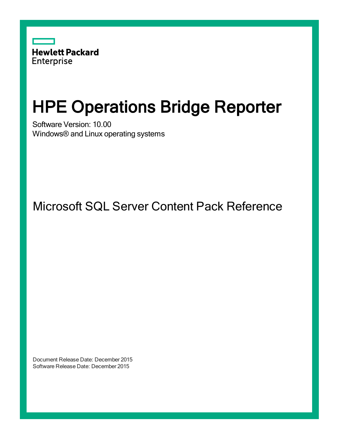

# HPE Operations Bridge Reporter

Software Version: 10.00 Windows® and Linux operating systems

Microsoft SQL Server Content Pack Reference

Document Release Date: December 2015 Software Release Date: December 2015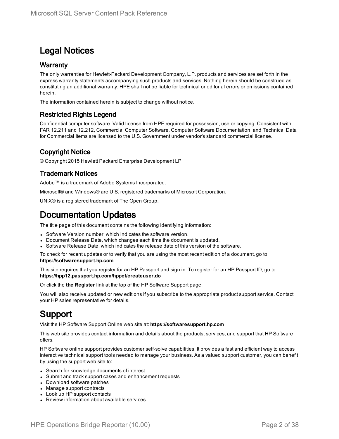### Legal Notices

#### **Warranty**

The only warranties for Hewlett-Packard Development Company, L.P. products and services are set forth in the express warranty statements accompanying such products and services. Nothing herein should be construed as constituting an additional warranty. HPE shall not be liable for technical or editorial errors or omissions contained herein.

The information contained herein is subject to change without notice.

#### Restricted Rights Legend

Confidential computer software. Valid license from HPE required for possession, use or copying. Consistent with FAR 12.211 and 12.212, Commercial Computer Software, Computer Software Documentation, and Technical Data for Commercial Items are licensed to the U.S. Government under vendor's standard commercial license.

#### Copyright Notice

© Copyright 2015 Hewlett Packard Enterprise Development LP

#### Trademark Notices

Adobe™ is a trademark of Adobe Systems Incorporated.

Microsoft® and Windows® are U.S. registered trademarks of Microsoft Corporation.

UNIX® is a registered trademark of The Open Group.

### Documentation Updates

The title page of this document contains the following identifying information:

- Software Version number, which indicates the software version.
- Document Release Date, which changes each time the document is updated.
- Software Release Date, which indicates the release date of this version of the software.

To check for recent updates or to verify that you are using the most recent edition of a document, go to: **https://softwaresupport.hp.com**

This site requires that you register for an HP Passport and sign in. To register for an HP Passport ID, go to: **https://hpp12.passport.hp.com/hppcf/createuser.do**

Or click the **the Register** link at the top of the HP Software Support page.

You will also receive updated or new editions if you subscribe to the appropriate product support service. Contact your HP sales representative for details.

### Support

Visit the HP Software Support Online web site at: **https://softwaresupport.hp.com**

This web site provides contact information and details about the products, services, and support that HP Software offers.

HP Software online support provides customer self-solve capabilities. It provides a fast and efficient way to access interactive technical support tools needed to manage your business. As a valued support customer, you can benefit by using the support web site to:

- Search for knowledge documents of interest
- Submit and track support cases and enhancement requests
- Download software patches
- Manage support contracts
- Look up HP support contacts
- Review information about available services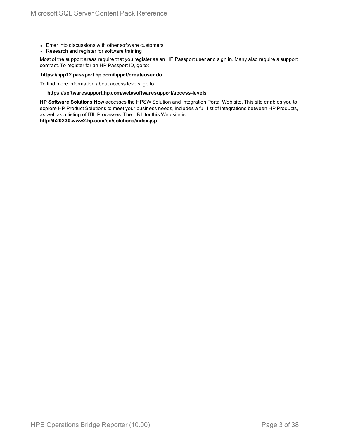- Enter into discussions with other software customers
- Research and register for software training

Most of the support areas require that you register as an HP Passport user and sign in. Many also require a support contract. To register for an HP Passport ID, go to:

#### **https://hpp12.passport.hp.com/hppcf/createuser.do**

To find more information about access levels, go to:

#### **https://softwaresupport.hp.com/web/softwaresupport/access-levels**

**HP Software Solutions Now** accesses the HPSW Solution and Integration Portal Web site. This site enables you to explore HP Product Solutions to meet your business needs, includes a full list of Integrations between HP Products, as well as a listing of ITIL Processes. The URL for this Web site is

**http://h20230.www2.hp.com/sc/solutions/index.jsp**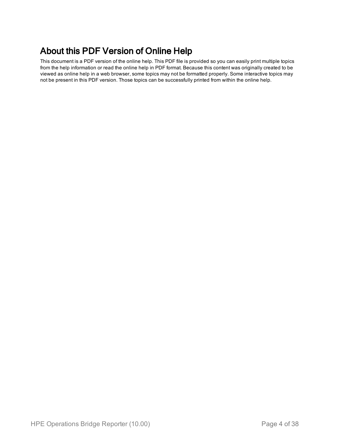### About this PDF Version of Online Help

This document is a PDF version of the online help. This PDF file is provided so you can easily print multiple topics from the help information or read the online help in PDF format. Because this content was originally created to be viewed as online help in a web browser, some topics may not be formatted properly. Some interactive topics may not be present in this PDF version. Those topics can be successfully printed from within the online help.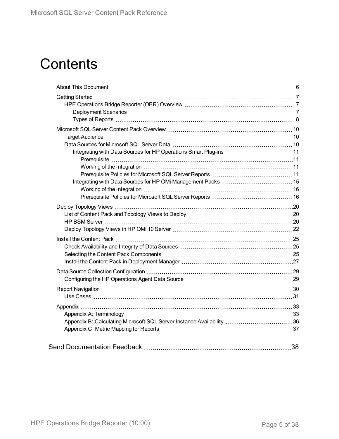# **Contents**

| Integrating with Data Sources for HP Operations Smart Plug-ins  11 |    |
|--------------------------------------------------------------------|----|
|                                                                    |    |
|                                                                    |    |
|                                                                    |    |
|                                                                    |    |
|                                                                    |    |
|                                                                    |    |
|                                                                    |    |
|                                                                    |    |
|                                                                    |    |
|                                                                    |    |
|                                                                    |    |
|                                                                    |    |
|                                                                    |    |
|                                                                    |    |
|                                                                    |    |
|                                                                    |    |
|                                                                    |    |
|                                                                    |    |
|                                                                    |    |
|                                                                    |    |
|                                                                    |    |
|                                                                    |    |
|                                                                    | 38 |
|                                                                    |    |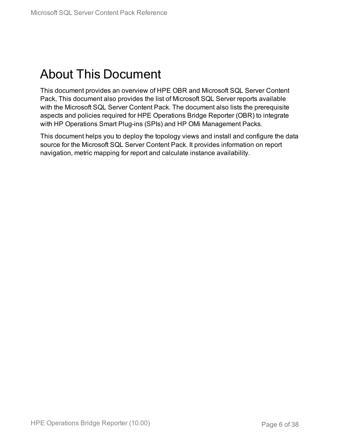# <span id="page-5-0"></span>About This Document

This document provides an overview of HPE OBR and Microsoft SQL Server Content Pack, This document also provides the list of Microsoft SQL Server reports available with the Microsoft SQL Server Content Pack. The document also lists the prerequisite aspects and policies required for HPE Operations Bridge Reporter (OBR) to integrate with HP Operations Smart Plug-ins (SPIs) and HP OMi Management Packs.

This document helps you to deploy the topology views and install and configure the data source for the Microsoft SQL Server Content Pack. It provides information on report navigation, metric mapping for report and calculate instance availability.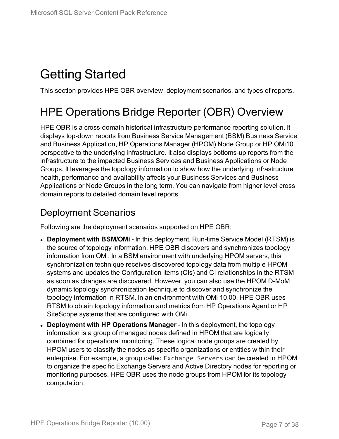# <span id="page-6-0"></span>Getting Started

<span id="page-6-1"></span>This section provides HPE OBR overview, deployment scenarios, and types of reports.

## HPE Operations Bridge Reporter (OBR) Overview

HPE OBR is a cross-domain historical infrastructure performance reporting solution. It displays top-down reports from Business Service Management (BSM) Business Service and Business Application, HP Operations Manager (HPOM) Node Group or HP OMi10 perspective to the underlying infrastructure. It also displays bottoms-up reports from the infrastructure to the impacted Business Services and Business Applications or Node Groups. It leverages the topology information to show how the underlying infrastructure health, performance and availability affects your Business Services and Business Applications or Node Groups in the long term. You can navigate from higher level cross domain reports to detailed domain level reports.

### <span id="page-6-2"></span>Deployment Scenarios

Following are the deployment scenarios supported on HPE OBR:

- **Deployment with BSM/OMi** In this deployment, Run-time Service Model (RTSM) is the source of topology information. HPE OBR discovers and synchronizes topology information from OMi. In a BSM environment with underlying HPOM servers, this synchronization technique receives discovered topology data from multiple HPOM systems and updates the Configuration Items (CIs) and CI relationships in the RTSM as soon as changes are discovered. However, you can also use the HPOM D-MoM dynamic topology synchronization technique to discover and synchronize the topology information in RTSM. In an environment with OMi 10.00, HPE OBR uses RTSM to obtain topology information and metrics from HP Operations Agent or HP SiteScope systems that are configured with OMi.
- <sup>l</sup> **Deployment with HP Operations Manager** In this deployment, the topology information is a group of managed nodes defined in HPOM that are logically combined for operational monitoring. These logical node groups are created by HPOM users to classify the nodes as specific organizations or entities within their enterprise. For example, a group called Exchange Servers can be created in HPOM to organize the specific Exchange Servers and Active Directory nodes for reporting or monitoring purposes. HPE OBR uses the node groups from HPOM for its topology computation.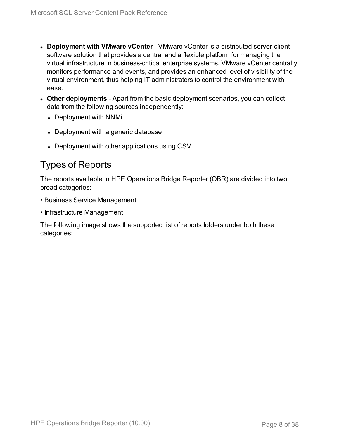- **.** Deployment with **VMware vCenter** VMware vCenter is a distributed server-client software solution that provides a central and a flexible platform for managing the virtual infrastructure in business-critical enterprise systems. VMware vCenter centrally monitors performance and events, and provides an enhanced level of visibility of the virtual environment, thus helping IT administrators to control the environment with ease.
- **Other deployments** Apart from the basic deployment scenarios, you can collect data from the following sources independently:
	- Deployment with NNMi
	- Deployment with a generic database
	- Deployment with other applications using CSV

### <span id="page-7-0"></span>Types of Reports

The reports available in HPE Operations Bridge Reporter (OBR) are divided into two broad categories:

- Business Service Management
- Infrastructure Management

The following image shows the supported list of reports folders under both these categories: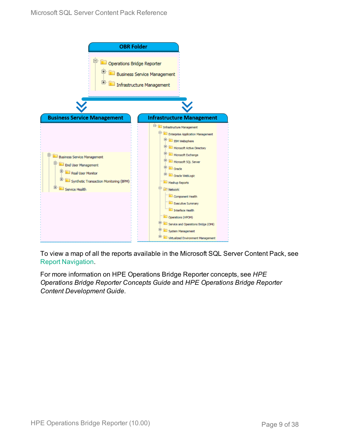

To view a map of all the reports available in the Microsoft SQL Server Content Pack, see Report [Navigation.](#page-29-0)

For more information on HPE Operations Bridge Reporter concepts, see *HPE Operations Bridge Reporter Concepts Guide* and *HPE Operations Bridge Reporter Content Development Guide*.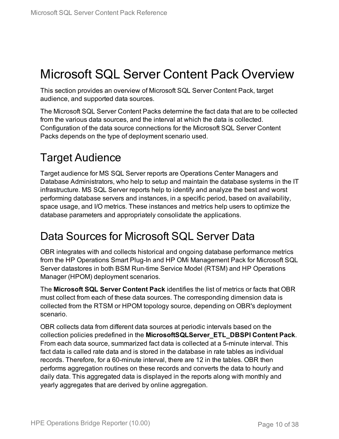# <span id="page-9-0"></span>Microsoft SQL Server Content Pack Overview

This section provides an overview of Microsoft SQL Server Content Pack, target audience, and supported data sources.

The Microsoft SQL Server Content Packs determine the fact data that are to be collected from the various data sources, and the interval at which the data is collected. Configuration of the data source connections for the Microsoft SQL Server Content Packs depends on the type of deployment scenario used.

## <span id="page-9-1"></span>Target Audience

Target audience for MS SQL Server reports are Operations Center Managers and Database Administrators, who help to setup and maintain the database systems in the IT infrastructure. MS SQL Server reports help to identify and analyze the best and worst performing database servers and instances, in a specific period, based on availability, space usage, and I/O metrics. These instances and metrics help users to optimize the database parameters and appropriately consolidate the applications.

## <span id="page-9-2"></span>Data Sources for Microsoft SQL Server Data

OBR integrates with and collects historical and ongoing database performance metrics from the HP Operations Smart Plug-In and HP OMi Management Pack for Microsoft SQL Server datastores in both BSM Run-time Service Model (RTSM) and HP Operations Manager (HPOM) deployment scenarios.

The **Microsoft SQL Server Content Pack** identifies the list of metrics or facts that OBR must collect from each of these data sources. The corresponding dimension data is collected from the RTSM or HPOM topology source, depending on OBR's deployment scenario.

OBR collects data from different data sources at periodic intervals based on the collection policies predefined in the **MicrosoftSQLServer\_ETL\_DBSPI Content Pack**. From each data source, summarized fact data is collected at a 5-minute interval. This fact data is called rate data and is stored in the database in rate tables as individual records. Therefore, for a 60-minute interval, there are 12 in the tables. OBR then performs aggregation routines on these records and converts the data to hourly and daily data. This aggregated data is displayed in the reports along with monthly and yearly aggregates that are derived by online aggregation.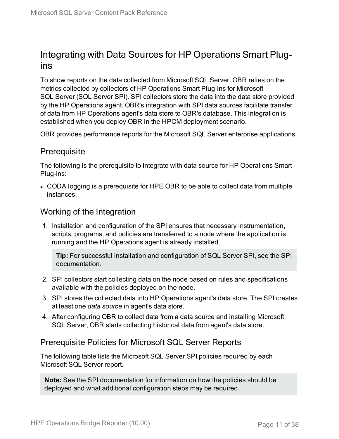### <span id="page-10-0"></span>Integrating with Data Sources for HP Operations Smart Plugins

To show reports on the data collected from Microsoft SQL Server, OBR relies on the metrics collected by collectors of HP Operations Smart Plug-ins for Microsoft SQL Server (SQL Server SPI). SPI collectors store the data into the data store provided by the HP Operations agent. OBR's integration with SPI data sources facilitate transfer of data from HP Operations agent's data store to OBR's database. This integration is established when you deploy OBR in the HPOM deployment scenario.

<span id="page-10-1"></span>OBR provides performance reports for the Microsoft SQL Server enterprise applications.

### **Prerequisite**

The following is the prerequisite to integrate with data source for HP Operations Smart Plug-ins:

• CODA logging is a prerequisite for HPE OBR to be able to collect data from multiple instances.

### <span id="page-10-2"></span>Working of the Integration

1. Installation and configuration of the SPI ensures that necessary instrumentation, scripts, programs, and policies are transferred to a node where the application is running and the HP Operations agent is already installed.

**Tip:** For successful installation and configuration of SQL Server SPI, see the SPI documentation.

- 2. SPI collectors start collecting data on the node based on rules and specifications available with the policies deployed on the node.
- 3. SPI stores the collected data into HP Operations agent's data store. The SPI creates at least one *data source* in agent's data store.
- 4. After configuring OBR to collect data from a data source and installing Microsoft SQL Server, OBR starts collecting historical data from agent's data store.

### <span id="page-10-3"></span>Prerequisite Policies for Microsoft SQL Server Reports

The following table lists the Microsoft SQL Server SPI policies required by each Microsoft SQL Server report.

**Note:** See the SPI documentation for information on how the policies should be deployed and what additional configuration steps may be required.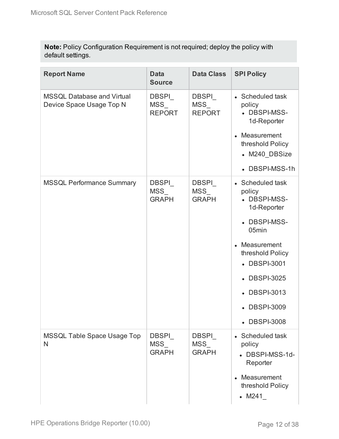**Note:** Policy Configuration Requirement is not required; deploy the policy with default settings.

| <b>Report Name</b>                                            | <b>Data</b><br><b>Source</b>               | <b>Data Class</b>                                   | <b>SPI Policy</b>                                                                                                                                                                                       |
|---------------------------------------------------------------|--------------------------------------------|-----------------------------------------------------|---------------------------------------------------------------------------------------------------------------------------------------------------------------------------------------------------------|
| <b>MSSQL Database and Virtual</b><br>Device Space Usage Top N | DBSPI<br>MSS<br><b>REPORT</b>              | DBSPI<br>${\overline {\sf MSS}}_-$<br><b>REPORT</b> | • Scheduled task<br>policy<br>• DBSPI-MSS-<br>1d-Reporter<br>• Measurement<br>threshold Policy<br>• M240 DBSize<br>• DBSPI-MSS-1h                                                                       |
| <b>MSSQL Performance Summary</b>                              | <b>DBSPI</b><br><b>MSS</b><br><b>GRAPH</b> | DBSPI<br><b>MSS</b><br><b>GRAPH</b>                 | • Scheduled task<br>policy<br>• DBSPI-MSS-<br>1d-Reporter<br>• DBSPI-MSS-<br>05min<br>• Measurement<br>threshold Policy<br>• DBSPI-3001<br>• DBSPI-3025<br>• DBSPI-3013<br>• DBSPI-3009<br>• DBSPI-3008 |
| MSSQL Table Space Usage Top<br>N                              | <b>DBSPI</b><br><b>MSS</b><br><b>GRAPH</b> | <b>DBSPI</b><br>MSS<br><b>GRAPH</b>                 | • Scheduled task<br>policy<br>• DBSPI-MSS-1d-<br>Reporter<br>Measurement<br>threshold Policy<br>$~\bullet$ M241                                                                                         |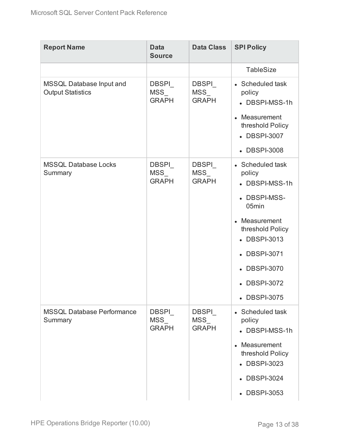| <b>Report Name</b>                                   | <b>Data</b><br><b>Source</b>                              | <b>Data Class</b>                   | <b>SPI Policy</b>                                                                                                                                                                          |
|------------------------------------------------------|-----------------------------------------------------------|-------------------------------------|--------------------------------------------------------------------------------------------------------------------------------------------------------------------------------------------|
|                                                      |                                                           |                                     | <b>TableSize</b>                                                                                                                                                                           |
| MSSQL Database Input and<br><b>Output Statistics</b> | <b>DBSPI</b><br>${\overline {\sf MSS}}_-$<br><b>GRAPH</b> | <b>DBSPI</b><br>MSS<br><b>GRAPH</b> | • Scheduled task<br>policy<br>• DBSPI-MSS-1h<br>• Measurement<br>threshold Policy<br>• DBSPI-3007<br>• DBSPI-3008                                                                          |
| <b>MSSQL Database Locks</b><br>Summary               | <b>DBSPI</b><br>MSS<br><b>GRAPH</b>                       | <b>DBSPI</b><br>MSS<br><b>GRAPH</b> | • Scheduled task<br>policy<br>• DBSPI-MSS-1h<br>• DBSPI-MSS-<br>05min<br>• Measurement<br>threshold Policy<br>• DBSPI-3013<br>• DBSPI-3071<br>• DBSPI-3070<br>• DBSPI-3072<br>• DBSPI-3075 |
| <b>MSSQL Database Performance</b><br>Summary         | DBSPI<br>MSS<br><b>GRAPH</b>                              | DBSPI<br><b>MSS</b><br><b>GRAPH</b> | • Scheduled task<br>policy<br>• DBSPI-MSS-1h<br>Measurement<br>threshold Policy<br>• DBSPI-3023<br>• DBSPI-3024<br>• DBSPI-3053                                                            |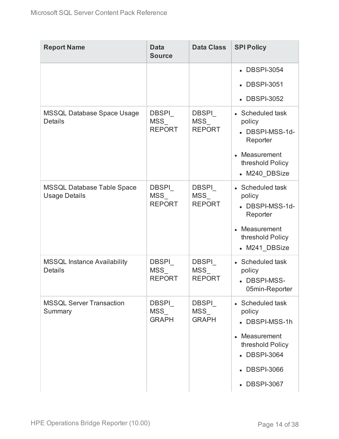| <b>Report Name</b>                                        | <b>Data</b><br><b>Source</b>         | <b>Data Class</b>                          | <b>SPI Policy</b>                                                                                                                            |
|-----------------------------------------------------------|--------------------------------------|--------------------------------------------|----------------------------------------------------------------------------------------------------------------------------------------------|
|                                                           |                                      |                                            | • DBSPI-3054                                                                                                                                 |
|                                                           |                                      |                                            | • DBSPI-3051                                                                                                                                 |
|                                                           |                                      |                                            | • DBSPI-3052                                                                                                                                 |
| <b>MSSQL Database Space Usage</b><br><b>Details</b>       | <b>DBSPI</b><br>MSS<br><b>REPORT</b> | <b>DBSPI</b><br>MSS<br><b>REPORT</b>       | • Scheduled task<br>policy<br>• DBSPI-MSS-1d-<br>Reporter<br>• Measurement<br>threshold Policy<br>• M240_DBSize                              |
| <b>MSSQL Database Table Space</b><br><b>Usage Details</b> | DBSPI<br>MSS<br><b>REPORT</b>        | <b>DBSPI</b><br>MSS<br><b>REPORT</b>       | • Scheduled task<br>policy<br>• DBSPI-MSS-1d-<br>Reporter<br>• Measurement<br>threshold Policy<br>• M241_DBSize                              |
| <b>MSSQL Instance Availability</b><br><b>Details</b>      | <b>DBSPI</b><br>MSS<br><b>REPORT</b> | <b>DBSPI</b><br>MSS<br><b>REPORT</b>       | • Scheduled task<br>policy<br>• DBSPI-MSS-<br>05min-Reporter                                                                                 |
| <b>MSSQL Server Transaction</b><br>Summary                | <b>DBSPI</b><br>MSS<br><b>GRAPH</b>  | <b>DBSPI</b><br><b>MSS</b><br><b>GRAPH</b> | • Scheduled task<br>policy<br>• DBSPI-MSS-1h<br>Measurement<br>$\bullet$<br>threshold Policy<br>• DBSPI-3064<br>• DBSPI-3066<br>• DBSPI-3067 |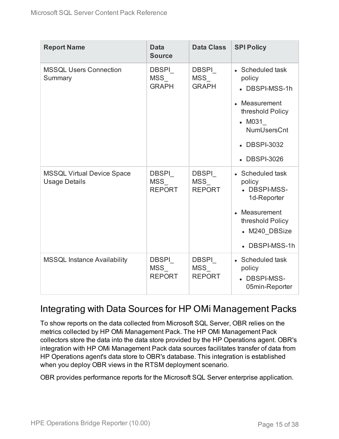| <b>Report Name</b>                                        | <b>Data</b><br><b>Source</b>                | <b>Data Class</b>                           | <b>SPI Policy</b>                                                                                                                                |
|-----------------------------------------------------------|---------------------------------------------|---------------------------------------------|--------------------------------------------------------------------------------------------------------------------------------------------------|
| <b>MSSQL Users Connection</b><br>Summary                  | <b>DBSPI</b><br><b>MSS</b><br><b>GRAPH</b>  | <b>DBSPI</b><br><b>MSS</b><br><b>GRAPH</b>  | • Scheduled task<br>policy<br>• DBSPI-MSS-1h<br>Measurement<br>threshold Policy<br>$-M031$<br><b>NumUsersCnt</b><br>• DBSPI-3032<br>• DBSPI-3026 |
| <b>MSSQL Virtual Device Space</b><br><b>Usage Details</b> | <b>DBSPI</b><br><b>MSS</b><br><b>REPORT</b> | <b>DBSPI</b><br><b>MSS</b><br><b>REPORT</b> | • Scheduled task<br>policy<br>• DBSPI-MSS-<br>1d-Reporter<br>• Measurement<br>threshold Policy<br>• M240 DBSize<br>• DBSPI-MSS-1h                |
| <b>MSSQL Instance Availability</b>                        | DBSPI_<br><b>MSS</b><br><b>REPORT</b>       | DBSPI<br>MSS<br><b>REPORT</b>               | • Scheduled task<br>policy<br>• DBSPI-MSS-<br>05min-Reporter                                                                                     |

### <span id="page-14-0"></span>Integrating with Data Sources for HP OMi Management Packs

To show reports on the data collected from Microsoft SQL Server, OBR relies on the metrics collected by HP OMi Management Pack. The HP OMi Management Pack collectors store the data into the data store provided by the HP Operations agent. OBR's integration with HP OMi Management Pack data sources facilitates transfer of data from HP Operations agent's data store to OBR's database. This integration is established when you deploy OBR views in the RTSM deployment scenario.

OBR provides performance reports for the Microsoft SQL Server enterprise application.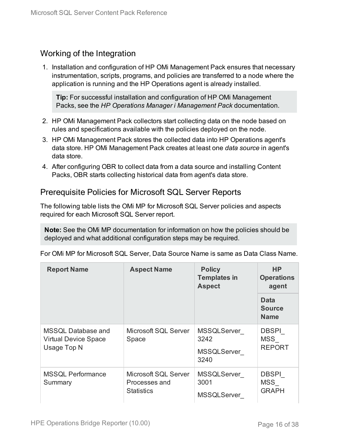### <span id="page-15-0"></span>Working of the Integration

1. Installation and configuration of HP OMi Management Pack ensures that necessary instrumentation, scripts, programs, and policies are transferred to a node where the application is running and the HP Operations agent is already installed.

**Tip:** For successful installation and configuration of HP OMi Management Packs, see the *HP Operations Manager i Management Pack* documentation.

- 2. HP OMi Management Pack collectors start collecting data on the node based on rules and specifications available with the policies deployed on the node.
- 3. HP OMi Management Pack stores the collected data into HP Operations agent's data store. HP OMi Management Pack creates at least one *data source* in agent's data store.
- 4. After configuring OBR to collect data from a data source and installing Content Packs, OBR starts collecting historical data from agent's data store.

### <span id="page-15-1"></span>Prerequisite Policies for Microsoft SQL Server Reports

The following table lists the OMi MP for Microsoft SQL Server policies and aspects required for each Microsoft SQL Server report.

**Note:** See the OMi MP documentation for information on how the policies should be deployed and what additional configuration steps may be required.

| <b>Report Name</b>                                                      | <b>Aspect Name</b>                                         | <b>Policy</b><br><b>Templates in</b><br><b>Aspect</b>    | <b>HP</b><br><b>Operations</b><br>agent     |
|-------------------------------------------------------------------------|------------------------------------------------------------|----------------------------------------------------------|---------------------------------------------|
|                                                                         |                                                            |                                                          | <b>Data</b><br><b>Source</b><br><b>Name</b> |
| <b>MSSQL Database and</b><br><b>Virtual Device Space</b><br>Usage Top N | Microsoft SQL Server<br>Space                              | <b>MSSQLServer</b><br>3242<br><b>MSSQLServer</b><br>3240 | <b>DBSPI</b><br><b>MSS</b><br><b>REPORT</b> |
| <b>MSSQL Performance</b><br>Summary                                     | Microsoft SQL Server<br>Processes and<br><b>Statistics</b> | <b>MSSQLServer</b><br>3001<br><b>MSSQLServer</b>         | <b>DBSPI</b><br><b>MSS</b><br><b>GRAPH</b>  |

For OMi MP for Microsoft SQL Server, Data Source Name is same as Data Class Name.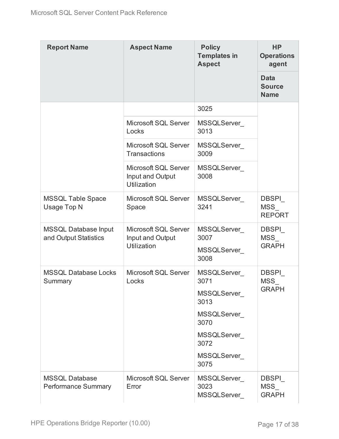| <b>Report Name</b>                                   | <b>Aspect Name</b>                                      | <b>Policy</b><br><b>Templates in</b><br><b>Aspect</b> | <b>HP</b><br><b>Operations</b><br>agent     |
|------------------------------------------------------|---------------------------------------------------------|-------------------------------------------------------|---------------------------------------------|
|                                                      |                                                         |                                                       | <b>Data</b><br><b>Source</b><br><b>Name</b> |
|                                                      |                                                         | 3025                                                  |                                             |
|                                                      | Microsoft SQL Server<br>Locks                           | <b>MSSQLServer</b><br>3013                            |                                             |
|                                                      | Microsoft SQL Server<br><b>Transactions</b>             | MSSQLServer<br>3009                                   |                                             |
|                                                      | Microsoft SQL Server<br>Input and Output<br>Utilization | MSSQLServer<br>3008                                   |                                             |
| <b>MSSQL Table Space</b><br>Usage Top N              | Microsoft SQL Server<br>Space                           | <b>MSSQLServer</b><br>3241                            | <b>DBSPI</b><br>MSS<br><b>REPORT</b>        |
| <b>MSSQL Database Input</b><br>and Output Statistics | Microsoft SQL Server<br>Input and Output<br>Utilization | MSSQLServer<br>3007<br><b>MSSQLServer</b><br>3008     | <b>DBSPI</b><br>MSS<br><b>GRAPH</b>         |
| <b>MSSQL Database Locks</b><br>Summary               | Microsoft SQL Server<br>Locks                           | <b>MSSQLServer</b><br>3071                            | <b>DBSPI</b><br>MSS                         |
|                                                      |                                                         | MSSQLServer<br>3013                                   | <b>GRAPH</b>                                |
|                                                      |                                                         | <b>MSSQLServer</b><br>3070                            |                                             |
|                                                      |                                                         | MSSQLServer<br>3072                                   |                                             |
|                                                      |                                                         | <b>MSSQLServer</b><br>3075                            |                                             |
| <b>MSSQL Database</b><br><b>Performance Summary</b>  | Microsoft SQL Server<br>Error                           | MSSQLServer<br>3023<br><b>MSSQLServer</b>             | <b>DBSPI</b><br>MSS<br><b>GRAPH</b>         |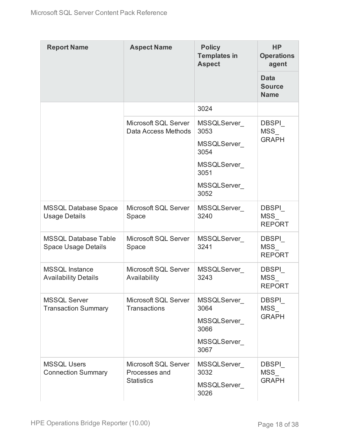| <b>Report Name</b>                                        | <b>Aspect Name</b>                                         | <b>Policy</b><br><b>Templates in</b><br><b>Aspect</b> | <b>HP</b><br><b>Operations</b><br>agent     |
|-----------------------------------------------------------|------------------------------------------------------------|-------------------------------------------------------|---------------------------------------------|
|                                                           |                                                            |                                                       | <b>Data</b><br><b>Source</b><br><b>Name</b> |
|                                                           |                                                            | 3024                                                  |                                             |
|                                                           | Microsoft SQL Server<br>Data Access Methods                | <b>MSSQLServer</b><br>3053                            | <b>DBSPI</b><br>MSS                         |
|                                                           |                                                            | <b>MSSQLServer</b><br>3054                            | <b>GRAPH</b>                                |
|                                                           |                                                            | <b>MSSQLServer</b><br>3051                            |                                             |
|                                                           |                                                            | <b>MSSQLServer</b><br>3052                            |                                             |
| <b>MSSQL Database Space</b><br><b>Usage Details</b>       | Microsoft SQL Server<br>Space                              | MSSQLServer<br>3240                                   | <b>DBSPI</b><br><b>MSS</b><br><b>REPORT</b> |
| <b>MSSQL Database Table</b><br><b>Space Usage Details</b> | Microsoft SQL Server<br>Space                              | MSSQLServer<br>3241                                   | <b>DBSPI</b><br><b>MSS</b><br><b>REPORT</b> |
| <b>MSSQL Instance</b><br><b>Availability Details</b>      | Microsoft SQL Server<br>Availability                       | MSSQLServer_<br>3243                                  | <b>DBSPI</b><br>MSS<br><b>REPORT</b>        |
| <b>MSSQL Server</b><br><b>Transaction Summary</b>         | Microsoft SQL Server<br><b>Transactions</b>                | <b>MSSQLServer</b><br>3064                            | <b>DBSPI</b><br><b>MSS</b>                  |
|                                                           |                                                            | <b>MSSQLServer</b><br>3066                            | <b>GRAPH</b>                                |
|                                                           |                                                            | <b>MSSQLServer</b><br>3067                            |                                             |
| <b>MSSQL Users</b><br><b>Connection Summary</b>           | Microsoft SQL Server<br>Processes and<br><b>Statistics</b> | MSSQLServer<br>3032<br><b>MSSQLServer</b><br>3026     | <b>DBSPI</b><br><b>MSS</b><br><b>GRAPH</b>  |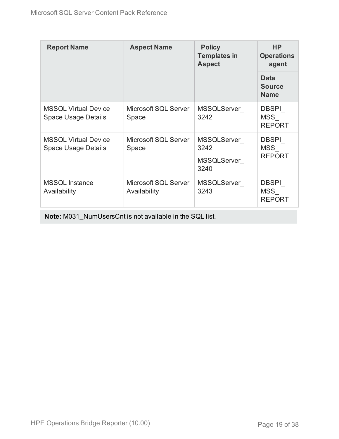| <b>Report Name</b>                                        | <b>Aspect Name</b>                   | <b>Policy</b><br><b>Templates in</b><br><b>Aspect</b> | <b>HP</b><br><b>Operations</b><br>agent     |
|-----------------------------------------------------------|--------------------------------------|-------------------------------------------------------|---------------------------------------------|
|                                                           |                                      |                                                       | <b>Data</b><br><b>Source</b><br><b>Name</b> |
| <b>MSSQL Virtual Device</b><br><b>Space Usage Details</b> | Microsoft SQL Server<br>Space        | MSSQLServer<br>3242                                   | <b>DBSPI</b><br><b>MSS</b><br><b>REPORT</b> |
| <b>MSSQL Virtual Device</b><br><b>Space Usage Details</b> | Microsoft SQL Server<br>Space        | MSSQLServer<br>3242<br>MSSQLServer_<br>3240           | <b>DBSPI</b><br><b>MSS</b><br><b>REPORT</b> |
| <b>MSSQL Instance</b><br>Availability                     | Microsoft SQL Server<br>Availability | MSSQLServer<br>3243                                   | DBSPI<br><b>MSS</b><br><b>REPORT</b>        |

**Note:** M031\_NumUsersCnt is not available in the SQL list.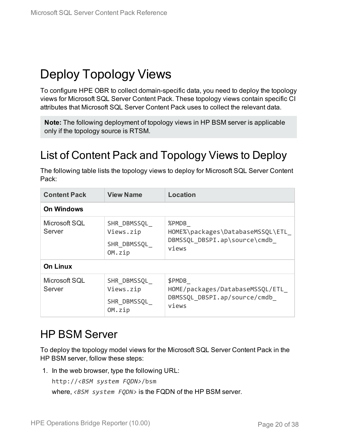# <span id="page-19-0"></span>Deploy Topology Views

To configure HPE OBR to collect domain-specific data, you need to deploy the topology views for Microsoft SQL Server Content Pack. These topology views contain specific CI attributes that Microsoft SQL Server Content Pack uses to collect the relevant data.

**Note:** The following deployment of topology views in HP BSM server is applicable only if the topology source is RTSM.

## <span id="page-19-1"></span>List of Content Pack and Topology Views to Deploy

The following table lists the topology views to deploy for Microsoft SQL Server Content Pack:

| <b>Content Pack</b>     | <b>View Name</b>                                  | <b>Location</b>                                                                    |
|-------------------------|---------------------------------------------------|------------------------------------------------------------------------------------|
| <b>On Windows</b>       |                                                   |                                                                                    |
| Microsoft SQL<br>Server | SHR DBMSSQL<br>Views.zip<br>SHR DBMSSQL<br>OM.zip | %PMDB<br>HOME%\packages\DatabaseMSSQL\ETL<br>DBMSSQL DBSPI.ap\source\cmdb<br>views |
| <b>On Linux</b>         |                                                   |                                                                                    |
| Microsoft SQL<br>Server | SHR DBMSSQL<br>Views.zip<br>SHR DBMSSQL<br>OM.zip | \$PMDB<br>HOME/packages/DatabaseMSSQL/ETL<br>DBMSSQL DBSPI.ap/source/cmdb<br>views |

### <span id="page-19-2"></span>HP BSM Server

To deploy the topology model views for the Microsoft SQL Server Content Pack in the HP BSM server, follow these steps:

1. In the web browser, type the following URL:

http://*<BSM system FQDN>*/bsm

where, *<BSM system FQDN>* is the FQDN of the HP BSM server.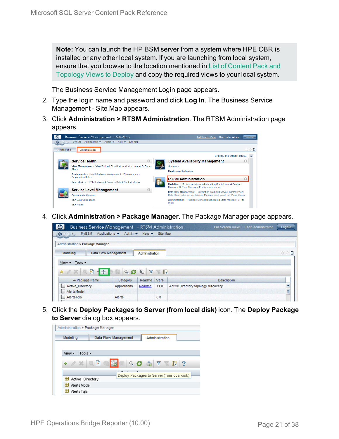**Note:** You can launch the HP BSM server from a system where HPE OBR is installed or any other local system. If you are launching from local system, ensure that you browse to the location mentioned in List of [Content](#page-19-1) Pack and [Topology](#page-19-1) Views to Deploy and copy the required views to your local system.

The Business Service Management Login page appears.

- 2. Type the login name and password and click **Log In**. The Business Service Management - Site Map appears.
- 3. Click **Administration > RTSM Administration**. The RTSM Administration page appears.

| ⇔            | <b>Business Service Management - Site Map</b><br>Applications $\star$ Admin $\star$ Help $\star$<br><b>MyBSM</b><br>Site Map | User: administrator<br><b>Full Screen View</b><br>Logout                                                         |
|--------------|------------------------------------------------------------------------------------------------------------------------------|------------------------------------------------------------------------------------------------------------------|
| Applications | Administration                                                                                                               | ◁▷■                                                                                                              |
|              |                                                                                                                              | Change the default page                                                                                          |
|              | <b>Service Health</b>                                                                                                        | <b>System Availability Management</b>                                                                            |
|              | View Management - View Builder  CI Indicators  Custom Image  CI Status<br>Alerts                                             | Summary                                                                                                          |
|              | Assignments - Health Indicator Assignments  KPI Assignments <br><b>Propagation Rules</b>                                     | <b>Metrics and Indicators</b><br><b>RTSM Administration</b>                                                      |
|              | Repositories - KPIs  Indicators  Business Rules  Context Menus                                                               | Modeling - IT Universe Manager  Modeling Studio  Impact Analysis<br>Manager  CI Type Manager  Enrichment manager |
|              | <b>Service Level Management</b>                                                                                              | Data Flow Management - Integration Studiol Discovery Control Panell                                              |
|              | <b>Agreements Manager</b>                                                                                                    | Data Flow Probe Set up  Adapter Management  Data Flow Probe Status                                               |
|              | <b>SLA Data Corrections</b>                                                                                                  | Administration - Package Manager  Scheduler  State Manager  CI life                                              |
|              | <b>SLA Alerts</b>                                                                                                            | ovde                                                                                                             |

4. Click **Administration > Package Manager**. The Package Manager page appears.

| <b>Business Service Management</b> - RTSM Administration                           |                                 |                           |          | <b>Full Screen View</b>             | User: administrator | Logout |
|------------------------------------------------------------------------------------|---------------------------------|---------------------------|----------|-------------------------------------|---------------------|--------|
| <b>MVBSM</b><br>♦<br>$\left\langle \left\langle \cdot \right\rangle \right\rangle$ | Applications v<br>Admin $\star$ | Help $\blacktriangledown$ | Site Map |                                     |                     |        |
| Administration > Package Manager                                                   |                                 |                           |          |                                     |                     |        |
| Modeling                                                                           | Data Flow Management            | Administration            |          |                                     |                     | ○○■    |
| Tools -<br>$View -$                                                                |                                 |                           |          |                                     |                     |        |
| 日<br>$-1.456$<br>$*$ $\alpha$ $\times$<br>國                                        | Q                               | G<br>Y                    | KI       |                                     |                     |        |
| $\angle$ Package Name                                                              | Category                        | Readme                    | Vers     | <b>Description</b>                  |                     |        |
| <b>Active Directory</b>                                                            | Applications                    | Readme                    | 11.0     | Active Directory topology discovery |                     |        |
| AlertsModel                                                                        |                                 |                           |          |                                     |                     | ≣      |
| AlertsTals<br>۱.                                                                   | Alerts                          |                           | 8.0      |                                     |                     |        |
|                                                                                    |                                 |                           |          |                                     |                     |        |

5. Click the **Deploy Packages to Server (from local disk)** icon. The **Deploy Package to Server** dialog box appears.

| Administration > Package Manager |                      |                                                 |
|----------------------------------|----------------------|-------------------------------------------------|
| Modeling                         | Data Flow Management | Administration                                  |
|                                  |                      |                                                 |
| Tools $\sim$<br>View -           |                      |                                                 |
| $\alpha \times \alpha$<br>÷      | Q                    | $\bullet \quad \nabla \quad \mathbb{R} \quad ?$ |
|                                  |                      | Deploy Packages to Server (from local disk)     |
| Active Directory                 |                      |                                                 |
| H<br>Alerts Model                |                      |                                                 |
| ÷<br>AlertsTals                  |                      |                                                 |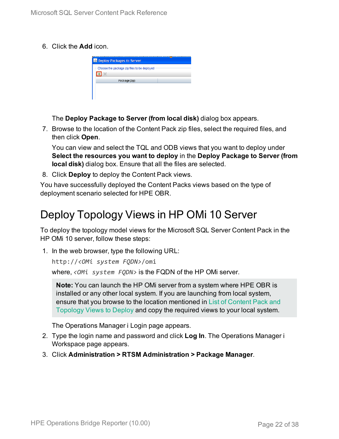6. Click the **Add** icon.

| <b>B</b> Deploy Packages to Server          |  |
|---------------------------------------------|--|
| Choose the package zip files to be deployed |  |
|                                             |  |
| Package (zip)                               |  |
|                                             |  |
|                                             |  |
|                                             |  |

The **Deploy Package to Server (from local disk)** dialog box appears.

7. Browse to the location of the Content Pack zip files, select the required files, and then click **Open**.

You can view and select the TQL and ODB views that you want to deploy under **Select the resources you want to deploy** in the **Deploy Package to Server (from local disk)** dialog box. Ensure that all the files are selected.

8. Click **Deploy** to deploy the Content Pack views.

You have successfully deployed the Content Packs views based on the type of deployment scenario selected for HPE OBR.

## <span id="page-21-0"></span>Deploy Topology Views in HP OMi 10 Server

To deploy the topology model views for the Microsoft SQL Server Content Pack in the HP OMi 10 server, follow these steps:

1. In the web browser, type the following URL:

```
http://<OMi system FQDN>/omi
```
where, *<OMi system FQDN>* is the FQDN of the HP OMi server.

**Note:** You can launch the HP OMi server from a system where HPE OBR is installed or any other local system. If you are launching from local system, ensure that you browse to the location mentioned in List of [Content](#page-19-1) Pack and [Topology](#page-19-1) Views to Deploy and copy the required views to your local system.

The Operations Manager i Login page appears.

- 2. Type the login name and password and click **Log In**. The Operations Manager i Workspace page appears.
- 3. Click **Administration > RTSM Administration > Package Manager**.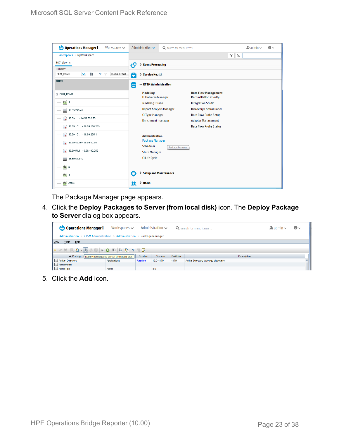| <b><i>OD</i></b> Operations Manager i<br>Workspaces $\smile$    | Administration $\sim$<br>Q search for menu items |                 |                                                               | $\mathbf{A}$ admin $\sim$ | $\bullet$ |  |
|-----------------------------------------------------------------|--------------------------------------------------|-----------------|---------------------------------------------------------------|---------------------------|-----------|--|
| Workspaces > My Workspace                                       |                                                  |                 |                                                               | Ħ.<br>$\mathbb{H}$        |           |  |
| 360° View x                                                     | > Event Processing<br>УÇ                         |                 |                                                               |                           |           |  |
| Hierarchy                                                       |                                                  |                 |                                                               |                           |           |  |
| ×.<br>Þ<br>EUM_BSMR<br>Y<br>[Select a Filter]<br>$\overline{Y}$ | ō<br>> Service Health                            |                 |                                                               |                           |           |  |
| Name                                                            | $\sim$ RTSM Administration                       |                 |                                                               |                           |           |  |
| E EUM_BSMR                                                      | <b>Modeling</b><br><b>IT Universe Manager</b>    |                 | <b>Data Flow Management</b><br><b>Reconciliation Priority</b> |                           |           |  |
| $\boxed{0}$ 1                                                   | <b>Modeling Studio</b>                           |                 | <b>Integration Studio</b>                                     |                           |           |  |
| Ë<br>16.55.245.42                                               | <b>Impact Analysis Manager</b>                   |                 | <b>Discovery Control Panel</b>                                |                           |           |  |
| $\bigotimes$ 16.59.1.1 - 16.59.50.255                           | <b>CI Type Manager</b>                           |                 | <b>Data Flow Probe Setup</b>                                  |                           |           |  |
|                                                                 | <b>Enrichment manager</b>                        |                 | <b>Adapter Management</b>                                     |                           |           |  |
| $\bigotimes$ 16.59.101.1 - 16.59.150.255                        |                                                  |                 | <b>Data Flow Probe Status</b>                                 |                           |           |  |
| $\bigcirc$ 16.59.151.1 - 16.59.255.1                            | <b>Administration</b>                            |                 |                                                               |                           |           |  |
| $16.59.42.70 - 16.59.42.70$                                     | <b>Package Manager</b>                           |                 |                                                               |                           |           |  |
|                                                                 | Scheduler                                        | Package Manager |                                                               |                           |           |  |
|                                                                 | <b>State Manager</b>                             |                 |                                                               |                           |           |  |
| 16.59.67.149<br>L)                                              | <b>CI Life Cycle</b>                             |                 |                                                               |                           |           |  |
| $\bigcirc$ 2                                                    |                                                  |                 |                                                               |                           |           |  |
| $\bigcirc$ 4                                                    | Ö<br>> Setup and Maintenance                     |                 |                                                               |                           |           |  |
| Active                                                          | > Users<br>22                                    |                 |                                                               |                           |           |  |

The Package Manager page appears.

4. Click the **Deploy Packages to Server (from local disk)** icon. The **Deploy Package to Server** dialog box appears.

| <b>Operations Manager i</b>                                                                                                                                                                                                                                                        | Workspaces $\sim$                                                       |        | Administration $\sim$ |          | Q search for menu items             | $\lambda_i$ admin $\sim$ | $\bullet$ |
|------------------------------------------------------------------------------------------------------------------------------------------------------------------------------------------------------------------------------------------------------------------------------------|-------------------------------------------------------------------------|--------|-----------------------|----------|-------------------------------------|--------------------------|-----------|
|                                                                                                                                                                                                                                                                                    | Administration > RTSM Administration > Administration > Package Manager |        |                       |          |                                     |                          |           |
| View - Tools - Help -                                                                                                                                                                                                                                                              |                                                                         |        |                       |          |                                     |                          |           |
| $* \angle \times \Box \boxtimes \cdot \textcolor{red}{\bullet} \textcolor{red}{\neq} \Box \textcolor{red}{\circ} \textcolor{blue}{\bullet} \textcolor{red}{\bullet} \textcolor{red}{\bullet} \boxtimes \textcolor{red}{\bullet} \textcolor{red}{\bullet} \textcolor{red}{\bullet}$ |                                                                         |        |                       |          |                                     |                          |           |
| ≐ Package N Deploy packages to server (from local disk)                                                                                                                                                                                                                            |                                                                         | Readme | Version               | Build Nu | <b>Description</b>                  |                          |           |
| Active_Directory                                                                                                                                                                                                                                                                   | Applications                                                            | Readme | 13.0-1179             | 1179     | Active Directory topology discovery |                          |           |
| AlertsModel                                                                                                                                                                                                                                                                        |                                                                         |        |                       |          |                                     |                          |           |
| AlertsTqls                                                                                                                                                                                                                                                                         | Alerts                                                                  |        | 8.0                   |          |                                     |                          |           |

5. Click the **Add** icon.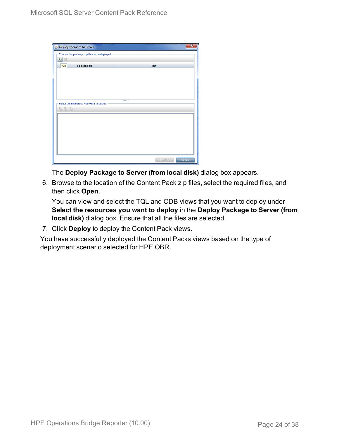| Deploy Packages to Server                   |        | ×      |
|---------------------------------------------|--------|--------|
| Choose the package zip files to be deployed |        |        |
| 中<br>$\chi$                                 |        |        |
| Package(zip)<br>Add                         | Path   |        |
|                                             |        |        |
|                                             |        |        |
|                                             |        |        |
|                                             |        |        |
|                                             |        |        |
| Select the resources you want to deploy     |        |        |
| 名马路                                         |        |        |
|                                             |        |        |
|                                             |        |        |
|                                             |        |        |
|                                             |        |        |
|                                             |        |        |
|                                             |        |        |
|                                             |        |        |
|                                             | Deploy | Cancel |

The **Deploy Package to Server (from local disk)** dialog box appears.

6. Browse to the location of the Content Pack zip files, select the required files, and then click **Open**.

You can view and select the TQL and ODB views that you want to deploy under **Select the resources you want to deploy** in the **Deploy Package to Server (from local disk)** dialog box. Ensure that all the files are selected.

7. Click **Deploy** to deploy the Content Pack views.

You have successfully deployed the Content Packs views based on the type of deployment scenario selected for HPE OBR.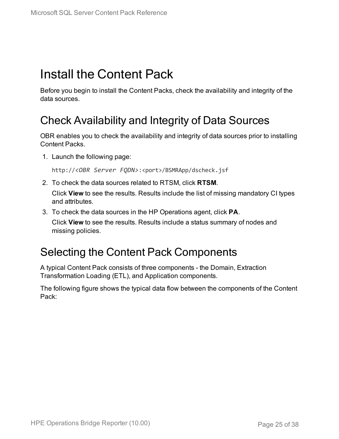# <span id="page-24-0"></span>Install the Content Pack

Before you begin to install the Content Packs, check the availability and integrity of the data sources.

## <span id="page-24-1"></span>Check Availability and Integrity of Data Sources

OBR enables you to check the availability and integrity of data sources prior to installing Content Packs.

1. Launch the following page:

http://*<OBR Server FQDN>*:<port>/BSMRApp/dscheck.jsf

2. To check the data sources related to RTSM, click **RTSM**.

Click **View** to see the results. Results include the list of missing mandatory CI types and attributes.

3. To check the data sources in the HP Operations agent, click **PA**.

Click **View** to see the results. Results include a status summary of nodes and missing policies.

### <span id="page-24-2"></span>Selecting the Content Pack Components

A typical Content Pack consists of three components - the Domain, Extraction Transformation Loading (ETL), and Application components.

The following figure shows the typical data flow between the components of the Content Pack: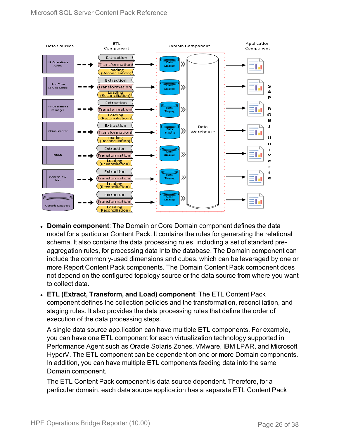

- **Domain component**: The Domain or Core Domain component defines the data model for a particular Content Pack. It contains the rules for generating the relational schema. It also contains the data processing rules, including a set of standard preaggregation rules, for processing data into the database. The Domain component can include the commonly-used dimensions and cubes, which can be leveraged by one or more Report Content Pack components. The Domain Content Pack component does not depend on the configured topology source or the data source from where you want to collect data.
- <sup>l</sup> **ETL (Extract, Transform, and Load) component**: The ETL Content Pack component defines the collection policies and the transformation, reconciliation, and staging rules. It also provides the data processing rules that define the order of execution of the data processing steps.

A single data source app.lication can have multiple ETL components. For example, you can have one ETL component for each virtualization technology supported in Performance Agent such as Oracle Solaris Zones, VMware, IBM LPAR, and Microsoft HyperV. The ETL component can be dependent on one or more Domain components. In addition, you can have multiple ETL components feeding data into the same Domain component.

The ETL Content Pack component is data source dependent. Therefore, for a particular domain, each data source application has a separate ETL Content Pack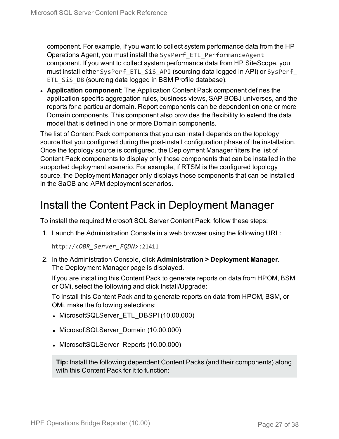component. For example, if you want to collect system performance data from the HP Operations Agent, you must install the SysPerf\_ETL\_PerformanceAgent component. If you want to collect system performance data from HP SiteScope, you must install either SysPerf\_ETL\_SiS\_API (sourcing data logged in API) or SysPerf\_ ETL SiS DB (sourcing data logged in BSM Profile database).

**Application component**: The Application Content Pack component defines the application-specific aggregation rules, business views, SAP BOBJ universes, and the reports for a particular domain. Report components can be dependent on one or more Domain components. This component also provides the flexibility to extend the data model that is defined in one or more Domain components.

The list of Content Pack components that you can install depends on the topology source that you configured during the post-install configuration phase of the installation. Once the topology source is configured, the Deployment Manager filters the list of Content Pack components to display only those components that can be installed in the supported deployment scenario. For example, if RTSM is the configured topology source, the Deployment Manager only displays those components that can be installed in the SaOB and APM deployment scenarios.

### <span id="page-26-0"></span>Install the Content Pack in Deployment Manager

To install the required Microsoft SQL Server Content Pack, follow these steps:

1. Launch the Administration Console in a web browser using the following URL:

http://*<OBR\_Server\_FQDN>*:21411

2. In the Administration Console, click **Administration > Deployment Manager**. The Deployment Manager page is displayed.

If you are installing this Content Pack to generate reports on data from HPOM, BSM, or OMi, select the following and click Install/Upgrade:

To install this Content Pack and to generate reports on data from HPOM, BSM, or OMi, make the following selections:

- MicrosoftSQLServer ETL DBSPI (10.00.000)
- MicrosoftSQLServer\_Domain (10.00.000)
- MicrosoftSQLServer\_Reports (10.00.000)

**Tip:** Install the following dependent Content Packs (and their components) along with this Content Pack for it to function: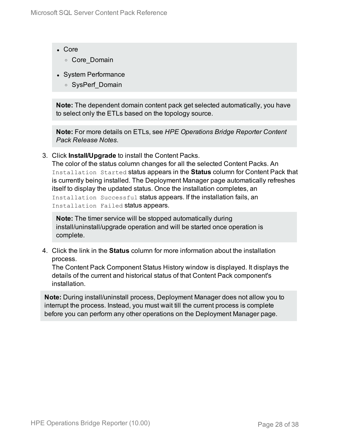- Core
	- <sup>o</sup> Core\_Domain
- System Performance
	- <sup>o</sup> SysPerf\_Domain

**Note:** The dependent domain content pack get selected automatically, you have to select only the ETLs based on the topology source.

**Note:** For more details on ETLs, see *HPE Operations Bridge Reporter Content Pack Release Notes*.

3. Click **Install/Upgrade** to install the Content Packs.

The color of the status column changes for all the selected Content Packs. An Installation Started status appears in the **Status** column for Content Pack that is currently being installed. The Deployment Manager page automatically refreshes itself to display the updated status. Once the installation completes, an Installation Successful status appears. If the installation fails, an Installation Failed status appears.

**Note:** The timer service will be stopped automatically during install/uninstall/upgrade operation and will be started once operation is complete.

4. Click the link in the **Status** column for more information about the installation process.

The Content Pack Component Status History window is displayed. It displays the details of the current and historical status of that Content Pack component's installation.

**Note:** During install/uninstall process, Deployment Manager does not allow you to interrupt the process. Instead, you must wait till the current process is complete before you can perform any other operations on the Deployment Manager page.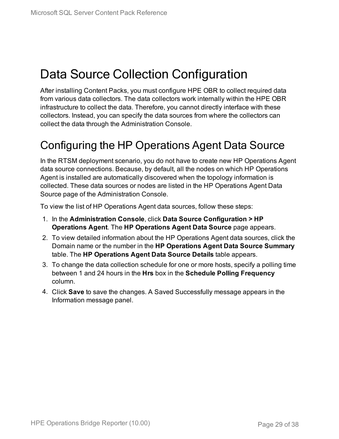# <span id="page-28-0"></span>Data Source Collection Configuration

After installing Content Packs, you must configure HPE OBR to collect required data from various data collectors. The data collectors work internally within the HPE OBR infrastructure to collect the data. Therefore, you cannot directly interface with these collectors. Instead, you can specify the data sources from where the collectors can collect the data through the Administration Console.

## <span id="page-28-1"></span>Configuring the HP Operations Agent Data Source

In the RTSM deployment scenario, you do not have to create new HP Operations Agent data source connections. Because, by default, all the nodes on which HP Operations Agent is installed are automatically discovered when the topology information is collected. These data sources or nodes are listed in the HP Operations Agent Data Source page of the Administration Console.

To view the list of HP Operations Agent data sources, follow these steps:

- 1. In the **Administration Console**, click **Data Source Configuration > HP Operations Agent**. The **HP Operations Agent Data Source** page appears.
- 2. To view detailed information about the HP Operations Agent data sources, click the Domain name or the number in the **HP Operations Agent Data Source Summary** table. The **HP Operations Agent Data Source Details** table appears.
- 3. To change the data collection schedule for one or more hosts, specify a polling time between 1 and 24 hours in the **Hrs** box in the **Schedule Polling Frequency** column.
- 4. Click **Save** to save the changes. A Saved Successfully message appears in the Information message panel.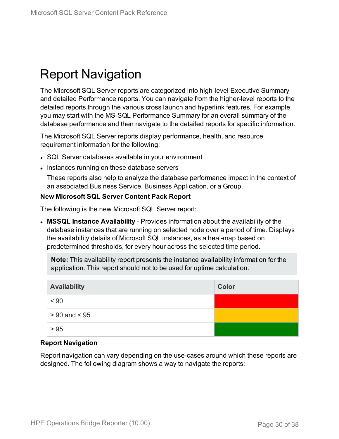# <span id="page-29-0"></span>Report Navigation

The Microsoft SQL Server reports are categorized into high-level Executive Summary and detailed Performance reports. You can navigate from the higher-level reports to the detailed reports through the various cross launch and hyperlink features. For example, you may start with the MS-SQL Performance Summary for an overall summary of the database performance and then navigate to the detailed reports for specific information.

The Microsoft SQL Server reports display performance, health, and resource requirement information for the following:

- SQL Server databases available in your environment
- Instances running on these database servers

These reports also help to analyze the database performance impact in the context of an associated Business Service, Business Application, or a Group.

#### **New Microsoft SQL Server Content Pack Report**

The following is the new Microsoft SQL Server report:

**MSSQL Instance Availability** - Provides information about the availability of the database instances that are running on selected node over a period of time. Displays the availability details of Microsoft SQL instances, as a heat-map based on predetermined thresholds, for every hour across the selected time period.

**Note:** This availability report presents the instance availability information for the application. This report should not to be used for uptime calculation.

| <b>Availability</b> | Color |
|---------------------|-------|
| < 90                |       |
| $> 90$ and $< 95$   |       |
| > 95                |       |

#### **Report Navigation**

Report navigation can vary depending on the use-cases around which these reports are designed. The following diagram shows a way to navigate the reports: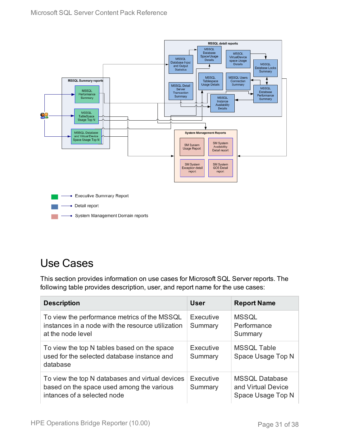- System Management Domain reports



## <span id="page-30-0"></span>Use Cases

This section provides information on use cases for Microsoft SQL Server reports. The following table provides description, user, and report name for the use cases:

| <b>Description</b>                                                                                                          | User                 | <b>Report Name</b>                                               |
|-----------------------------------------------------------------------------------------------------------------------------|----------------------|------------------------------------------------------------------|
| To view the performance metrics of the MSSQL<br>instances in a node with the resource utilization<br>at the node level      | Executive<br>Summary | <b>MSSQL</b><br>Performance<br>Summary                           |
| To view the top N tables based on the space<br>used for the selected database instance and<br>database                      | Executive<br>Summary | <b>MSSQL Table</b><br>Space Usage Top N                          |
| To view the top N databases and virtual devices<br>based on the space used among the various<br>intances of a selected node | Executive<br>Summary | <b>MSSQL Database</b><br>and Virtual Device<br>Space Usage Top N |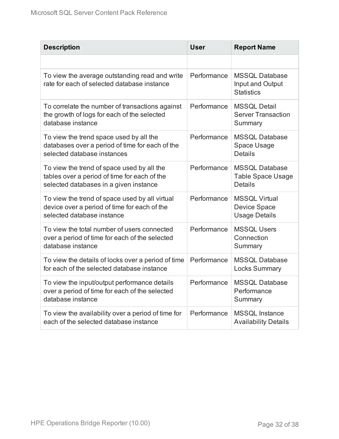| <b>Description</b>                                                                                                                   | <b>User</b> | <b>Report Name</b>                                                  |
|--------------------------------------------------------------------------------------------------------------------------------------|-------------|---------------------------------------------------------------------|
|                                                                                                                                      |             |                                                                     |
| To view the average outstanding read and write<br>rate for each of selected database instance                                        | Performance | <b>MSSQL Database</b><br>Input and Output<br><b>Statistics</b>      |
| To correlate the number of transactions against<br>the growth of logs for each of the selected<br>database instance                  | Performance | <b>MSSQL Detail</b><br><b>Server Transaction</b><br>Summary         |
| To view the trend space used by all the<br>databases over a period of time for each of the<br>selected database instances            | Performance | <b>MSSQL Database</b><br>Space Usage<br><b>Details</b>              |
| To view the trend of space used by all the<br>tables over a period of time for each of the<br>selected databases in a given instance | Performance | <b>MSSQL Database</b><br><b>Table Space Usage</b><br><b>Details</b> |
| To view the trend of space used by all virtual<br>device over a period of time for each of the<br>selected database instance         | Performance | <b>MSSQL Virtual</b><br><b>Device Space</b><br><b>Usage Details</b> |
| To view the total number of users connected<br>over a period of time for each of the selected<br>database instance                   | Performance | <b>MSSQL Users</b><br>Connection<br>Summary                         |
| To view the details of locks over a period of time<br>for each of the selected database instance                                     | Performance | <b>MSSQL Database</b><br><b>Locks Summary</b>                       |
| To view the input/output performance details<br>over a period of time for each of the selected<br>database instance                  | Performance | <b>MSSQL Database</b><br>Performance<br>Summary                     |
| To view the availability over a period of time for<br>each of the selected database instance                                         | Performance | <b>MSSQL Instance</b><br><b>Availability Details</b>                |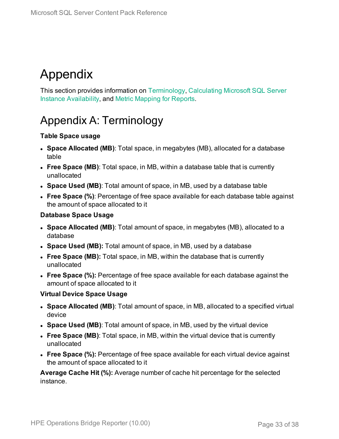# <span id="page-32-0"></span>Appendix

This section provides information on [Terminology](#page-32-1), [Calculating](#page-35-0) Microsoft SQL Server Instance [Availability](#page-35-0), and Metric [Mapping](#page-36-0) for Reports.

## <span id="page-32-1"></span>Appendix A: Terminology

#### **Table Space usage**

- **.** Space Allocated (MB): Total space, in megabytes (MB), allocated for a database table
- <sup>l</sup> **Free Space (MB)**: Total space, in MB, within a database table that is currently unallocated
- <sup>l</sup> **Space Used (MB)**: Total amount of space, in MB, used by a database table
- <sup>l</sup> **Free Space (%)**: Percentage of free space available for each database table against the amount of space allocated to it

#### **Database Space Usage**

- **.** Space Allocated (MB): Total amount of space, in megabytes (MB), allocated to a database
- **Space Used (MB):** Total amount of space, in MB, used by a database
- <sup>l</sup> **Free Space (MB):** Total space, in MB, within the database that is currently unallocated
- **Free Space (%):** Percentage of free space available for each database against the amount of space allocated to it

#### **Virtual Device Space Usage**

- <sup>l</sup> **Space Allocated (MB)**: Total amount of space, in MB, allocated to a specified virtual device
- <sup>l</sup> **Space Used (MB)**: Total amount of space, in MB, used by the virtual device
- **Free Space (MB)**: Total space, in MB, within the virtual device that is currently unallocated
- **Free Space (%):** Percentage of free space available for each virtual device against the amount of space allocated to it

**Average Cache Hit (%):** Average number of cache hit percentage for the selected instance.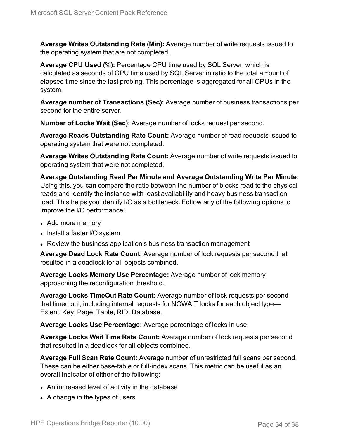**Average Writes Outstanding Rate (Min):** Average number of write requests issued to the operating system that are not completed.

**Average CPU Used (%):** Percentage CPU time used by SQL Server, which is calculated as seconds of CPU time used by SQL Server in ratio to the total amount of elapsed time since the last probing. This percentage is aggregated for all CPUs in the system.

**Average number of Transactions (Sec):** Average number of business transactions per second for the entire server.

**Number of Locks Wait (Sec):** Average number of locks request per second.

**Average Reads Outstanding Rate Count:** Average number of read requests issued to operating system that were not completed.

**Average Writes Outstanding Rate Count:** Average number of write requests issued to operating system that were not completed.

**Average Outstanding Read Per Minute and Average Outstanding Write Per Minute:** Using this, you can compare the ratio between the number of blocks read to the physical reads and identify the instance with least availability and heavy business transaction load. This helps you identify I/O as a bottleneck. Follow any of the following options to improve the I/O performance:

- Add more memory
- Install a faster I/O system
- Review the business application's business transaction management

**Average Dead Lock Rate Count:** Average number of lock requests per second that resulted in a deadlock for all objects combined.

**Average Locks Memory Use Percentage:** Average number of lock memory approaching the reconfiguration threshold.

**Average Locks TimeOut Rate Count:** Average number of lock requests per second that timed out, including internal requests for NOWAIT locks for each object type— Extent, Key, Page, Table, RID, Database.

**Average Locks Use Percentage:** Average percentage of locks in use.

**Average Locks Wait Time Rate Count:** Average number of lock requests per second that resulted in a deadlock for all objects combined.

**Average Full Scan Rate Count:** Average number of unrestricted full scans per second. These can be either base-table or full-index scans. This metric can be useful as an overall indicator of either of the following:

- An increased level of activity in the database
- $\bullet$  A change in the types of users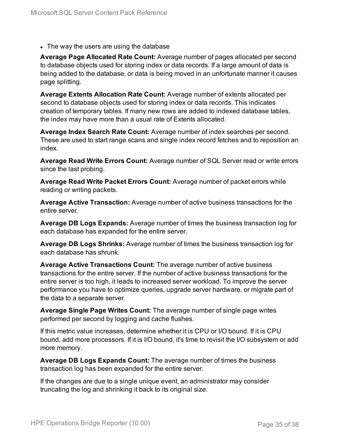• The way the users are using the database

**Average Page Allocated Rate Count:** Average number of pages allocated per second to database objects used for storing index or data records. If a large amount of data is being added to the database, or data is being moved in an unfortunate manner it causes page splitting.

**Average Extents Allocation Rate Count:** Average number of extents allocated per second to database objects used for storing index or data records. This indicates creation of temporary tables. If many new rows are added to indexed database tables, the index may have more than a usual rate of Extents allocated.

**Average Index Search Rate Count:** Average number of index searches per second. These are used to start range scans and single index record fetches and to reposition an index.

**Average Read Write Errors Count:** Average number of SQL Server read or write errors since the last probing.

**Average Read Write Packet Errors Count:** Average number of packet errors while reading or writing packets.

**Average Active Transaction:** Average number of active business transactions for the entire server.

**Average DB Logs Expands:** Average number of times the business transaction log for each database has expanded for the entire server.

**Average DB Logs Shrinks:** Average number of times the business transaction log for each database has shrunk.

**Average Active Transactions Count:** The average number of active business transactions for the entire server. If the number of active business transactions for the entire server is too high, it leads to increased server workload. To improve the server performance you have to optimize queries, upgrade server hardware, or migrate part of the data to a separate server.

**Average Single Page Writes Count:** The average number of single page writes performed per second by logging and cache flushes.

If this metric value increases, determine whether it is CPU or I/O bound. If it is CPU bound, add more processors. If it is I/O bound, it's time to revisit the I/O subsystem or add more memory.

**Average DB Logs Expands Count:** The average number of times the business transaction log has been expanded for the entire server.

If the changes are due to a single unique event, an administrator may consider truncating the log and shrinking it back to its original size.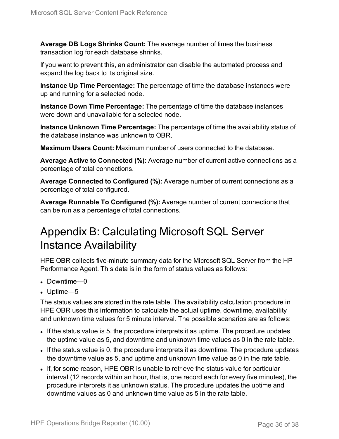**Average DB Logs Shrinks Count:** The average number of times the business transaction log for each database shrinks.

If you want to prevent this, an administrator can disable the automated process and expand the log back to its original size.

**Instance Up Time Percentage:** The percentage of time the database instances were up and running for a selected node.

**Instance Down Time Percentage:** The percentage of time the database instances were down and unavailable for a selected node.

**Instance Unknown Time Percentage:** The percentage of time the availability status of the database instance was unknown to OBR.

**Maximum Users Count:** Maximum number of users connected to the database.

**Average Active to Connected (%):** Average number of current active connections as a percentage of total connections.

**Average Connected to Configured (%):** Average number of current connections as a percentage of total configured.

**Average Runnable To Configured (%):** Average number of current connections that can be run as a percentage of total connections.

## <span id="page-35-0"></span>Appendix B: Calculating Microsoft SQL Server Instance Availability

HPE OBR collects five-minute summary data for the Microsoft SQL Server from the HP Performance Agent. This data is in the form of status values as follows:

- $\bullet$  Downtime—0
- $\bullet$  Uptime—5

The status values are stored in the rate table. The availability calculation procedure in HPE OBR uses this information to calculate the actual uptime, downtime, availability and unknown time values for 5 minute interval. The possible scenarios are as follows:

- If the status value is 5, the procedure interprets it as uptime. The procedure updates the uptime value as 5, and downtime and unknown time values as 0 in the rate table.
- If the status value is 0, the procedure interprets it as downtime. The procedure updates the downtime value as 5, and uptime and unknown time value as 0 in the rate table.
- If, for some reason, HPE OBR is unable to retrieve the status value for particular interval (12 records within an hour, that is, one record each for every five minutes), the procedure interprets it as unknown status. The procedure updates the uptime and downtime values as 0 and unknown time value as 5 in the rate table.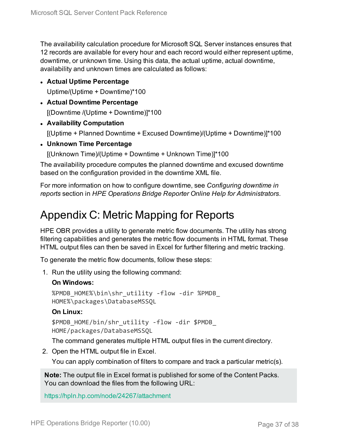The availability calculation procedure for Microsoft SQL Server instances ensures that 12 records are available for every hour and each record would either represent uptime, downtime, or unknown time. Using this data, the actual uptime, actual downtime, availability and unknown times are calculated as follows:

<sup>l</sup> **Actual Uptime Percentage**

Uptime/(Uptime + Downtime)\*100

- <sup>l</sup> **Actual Downtime Percentage** [(Downtime /(Uptime + Downtime)]\*100
- <sup>l</sup> **Availability Computation**

[(Uptime + Planned Downtime + Excused Downtime)/(Uptime + Downtime)]\*100

<sup>l</sup> **Unknown Time Percentage**

[(Unknown Time)/(Uptime + Downtime + Unknown Time)]\*100

The availability procedure computes the planned downtime and excused downtime based on the configuration provided in the downtime XML file.

<span id="page-36-0"></span>For more information on how to configure downtime, see *Configuring downtime in reports* section in *HPE Operations Bridge Reporter Online Help for Administrators*.

### Appendix C: Metric Mapping for Reports

HPE OBR provides a utility to generate metric flow documents. The utility has strong filtering capabilities and generates the metric flow documents in HTML format. These HTML output files can then be saved in Excel for further filtering and metric tracking.

To generate the metric flow documents, follow these steps:

1. Run the utility using the following command:

#### **On Windows:**

%PMDB\_HOME%\bin\shr\_utility -flow -dir %PMDB\_ HOME%\packages\DatabaseMSSQL

#### **On Linux:**

\$PMDB\_HOME/bin/shr\_utility -flow -dir \$PMDB\_ HOME/packages/DatabaseMSSQL

The command generates multiple HTML output files in the current directory.

2. Open the HTML output file in Excel.

You can apply combination of filters to compare and track a particular metric(s).

**Note:** The output file in Excel format is published for some of the Content Packs. You can download the files from the following URL:

<https://hpln.hp.com/node/24267/attachment>